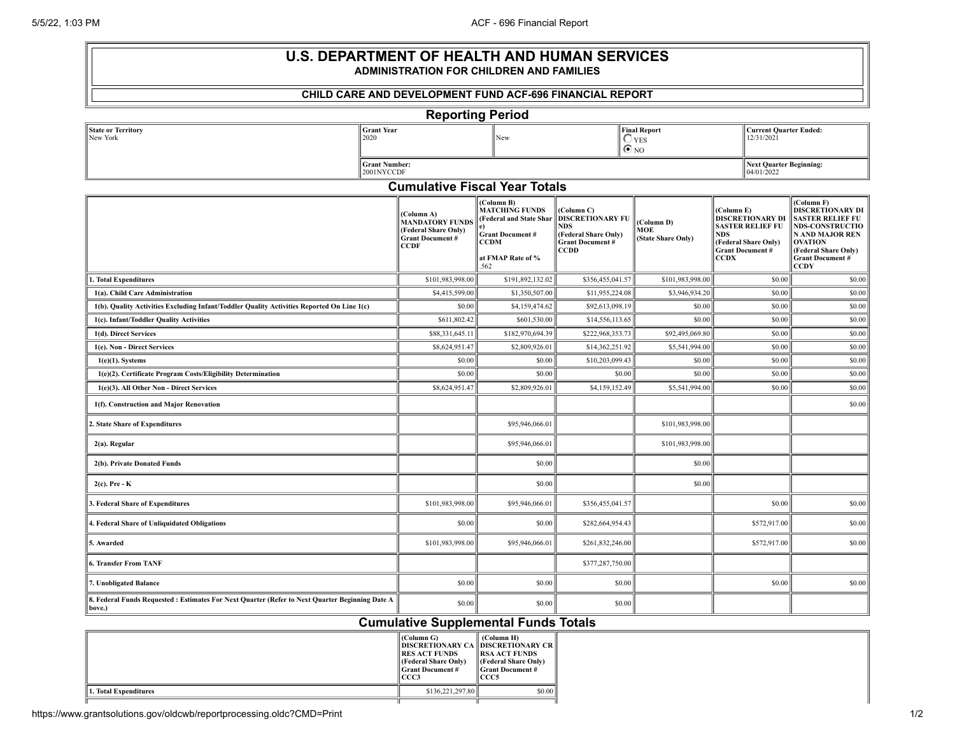| <b>U.S. DEPARTMENT OF HEALTH AND HUMAN SERVICES</b><br><b>ADMINISTRATION FOR CHILDREN AND FAMILIES</b>    |  |                                                                                                        |                                                                                                                                      |                                                                                                                      |                                                     |                                                                                                                                                  |                                                                                                                                                                                                          |  |  |  |
|-----------------------------------------------------------------------------------------------------------|--|--------------------------------------------------------------------------------------------------------|--------------------------------------------------------------------------------------------------------------------------------------|----------------------------------------------------------------------------------------------------------------------|-----------------------------------------------------|--------------------------------------------------------------------------------------------------------------------------------------------------|----------------------------------------------------------------------------------------------------------------------------------------------------------------------------------------------------------|--|--|--|
| <b>CHILD CARE AND DEVELOPMENT FUND ACF-696 FINANCIAL REPORT</b>                                           |  |                                                                                                        |                                                                                                                                      |                                                                                                                      |                                                     |                                                                                                                                                  |                                                                                                                                                                                                          |  |  |  |
| <b>Reporting Period</b>                                                                                   |  |                                                                                                        |                                                                                                                                      |                                                                                                                      |                                                     |                                                                                                                                                  |                                                                                                                                                                                                          |  |  |  |
| <b>Grant Year</b><br><b>State or Territory</b><br>New York<br>2020<br><b>Grant Number:</b>                |  | New                                                                                                    |                                                                                                                                      |                                                                                                                      | <b>Final Report</b><br>$\bigcirc$ yes<br>$\odot$ NO | 12/31/2021                                                                                                                                       | <b>Current Quarter Ended:</b>                                                                                                                                                                            |  |  |  |
|                                                                                                           |  |                                                                                                        |                                                                                                                                      |                                                                                                                      |                                                     |                                                                                                                                                  | <b>Next Quarter Beginning:</b>                                                                                                                                                                           |  |  |  |
| 2001NYCCDF<br>04/01/2022<br><b>Cumulative Fiscal Year Totals</b>                                          |  |                                                                                                        |                                                                                                                                      |                                                                                                                      |                                                     |                                                                                                                                                  |                                                                                                                                                                                                          |  |  |  |
|                                                                                                           |  | (Column A)<br><b>MANDATÓRY FUNDS</b><br>(Federal Share Only)<br><b>Grant Document #</b><br><b>CCDF</b> | (Column B)<br><b>MATCHING FUNDS</b><br>(Federal and State Shar<br>e).<br><b>Grant Document#</b><br>CCDM<br>at FMAP Rate of %<br>.562 | (Column C)<br><b>DISCRETIONARY FU</b><br><b>NDS</b><br>(Federal Share Only)<br><b>Grant Document#</b><br><b>CCDD</b> | (Column D)<br>MOE<br>(State Share Only)             | (Column E)<br><b>DISCRETIONARY DI</b><br><b>SASTER RELIEF FU</b><br><b>NDS</b><br>(Federal Share Only)<br><b>Grant Document #</b><br><b>CCDX</b> | (Column F)<br><b>DISCRETIONARY DI</b><br><b>SASTER RELIEF FU</b><br><b>NDS-CONSTRUCTIO</b><br><b>N AND MAJOR REN</b><br><b>OVATION</b><br>(Federal Share Only)<br><b>Grant Document #</b><br><b>CCDY</b> |  |  |  |
| 1. Total Expenditures                                                                                     |  | \$101,983,998.00                                                                                       | \$191,892,132.02                                                                                                                     | \$356,455,041.57                                                                                                     | \$101,983,998.00                                    | \$0.00                                                                                                                                           | \$0.00                                                                                                                                                                                                   |  |  |  |
| 1(a). Child Care Administration                                                                           |  | \$4,415,599.00                                                                                         | \$1,350,507.00                                                                                                                       | \$11,955,224.08                                                                                                      | \$3,946,934.20                                      | \$0.00                                                                                                                                           | \$0.00                                                                                                                                                                                                   |  |  |  |
| 1(b). Quality Activities Excluding Infant/Toddler Quality Activities Reported On Line 1(c)                |  | \$0.00                                                                                                 | \$4,159,474.62                                                                                                                       | \$92,613,098.19                                                                                                      | \$0.00                                              | \$0.00                                                                                                                                           | \$0.00                                                                                                                                                                                                   |  |  |  |
| 1(c). Infant/Toddler Quality Activities                                                                   |  | \$611,802.42                                                                                           | \$601,530.00                                                                                                                         | \$14,556,113.65                                                                                                      | \$0.00                                              | \$0.00                                                                                                                                           | \$0.00                                                                                                                                                                                                   |  |  |  |
| 1(d). Direct Services                                                                                     |  |                                                                                                        | \$182,970,694.39                                                                                                                     | \$222,968,353.73                                                                                                     | \$92,495,069.80                                     | \$0.00                                                                                                                                           | \$0.00                                                                                                                                                                                                   |  |  |  |
| 1(e). Non - Direct Services                                                                               |  | \$8,624,951.47                                                                                         | \$2,809,926.01                                                                                                                       | \$14,362,251.92                                                                                                      | \$5,541,994.00                                      | \$0.00                                                                                                                                           | \$0.00                                                                                                                                                                                                   |  |  |  |
| $1(e)(1)$ . Systems                                                                                       |  | \$0.00                                                                                                 | \$0.00                                                                                                                               | \$10,203,099.43                                                                                                      | \$0.00                                              | \$0.00                                                                                                                                           | \$0.00                                                                                                                                                                                                   |  |  |  |
| 1(e)(2). Certificate Program Costs/Eligibility Determination                                              |  | \$0.00                                                                                                 | \$0.00                                                                                                                               | \$0.00                                                                                                               | \$0.00                                              | \$0.00                                                                                                                                           | \$0.00                                                                                                                                                                                                   |  |  |  |
| 1(e)(3). All Other Non - Direct Services                                                                  |  | \$8,624,951.47                                                                                         | \$2,809,926.01                                                                                                                       | \$4,159,152.49                                                                                                       | \$5,541,994.00                                      | \$0.00                                                                                                                                           | \$0.00                                                                                                                                                                                                   |  |  |  |
| 1(f). Construction and Major Renovation                                                                   |  |                                                                                                        |                                                                                                                                      |                                                                                                                      |                                                     |                                                                                                                                                  | \$0.00                                                                                                                                                                                                   |  |  |  |
| 2. State Share of Expenditures                                                                            |  |                                                                                                        | \$95,946,066.01                                                                                                                      |                                                                                                                      | \$101,983,998.00                                    |                                                                                                                                                  |                                                                                                                                                                                                          |  |  |  |
| 2(a). Regular                                                                                             |  |                                                                                                        | \$95,946,066.01                                                                                                                      |                                                                                                                      | \$101,983,998.00                                    |                                                                                                                                                  |                                                                                                                                                                                                          |  |  |  |
| 2(b). Private Donated Funds                                                                               |  |                                                                                                        | \$0.00                                                                                                                               |                                                                                                                      | \$0.00                                              |                                                                                                                                                  |                                                                                                                                                                                                          |  |  |  |
| $2(c)$ . Pre - K                                                                                          |  |                                                                                                        | \$0.00                                                                                                                               |                                                                                                                      | \$0.00                                              |                                                                                                                                                  |                                                                                                                                                                                                          |  |  |  |
| 3. Federal Share of Expenditures                                                                          |  | \$101,983,998.00                                                                                       | \$95,946,066.01                                                                                                                      | \$356,455,041.57                                                                                                     |                                                     | \$0.00                                                                                                                                           | \$0.00                                                                                                                                                                                                   |  |  |  |
| 4. Federal Share of Unliquidated Obligations                                                              |  | \$0.00                                                                                                 | \$0.00                                                                                                                               | \$282,664,954.43                                                                                                     |                                                     | \$572,917.00                                                                                                                                     | \$0.00                                                                                                                                                                                                   |  |  |  |
| 5. Awarded                                                                                                |  | \$101,983,998.00                                                                                       | \$95,946,066.01                                                                                                                      | \$261,832,246.00                                                                                                     |                                                     | \$572,917.00                                                                                                                                     | \$0.00                                                                                                                                                                                                   |  |  |  |
| <b>6. Transfer From TANF</b>                                                                              |  |                                                                                                        |                                                                                                                                      | \$377,287,750.00                                                                                                     |                                                     |                                                                                                                                                  |                                                                                                                                                                                                          |  |  |  |
| 7. Unobligated Balance                                                                                    |  | \$0.00                                                                                                 | \$0.00                                                                                                                               | \$0.00                                                                                                               |                                                     | \$0.00                                                                                                                                           | \$0.00                                                                                                                                                                                                   |  |  |  |
| 8. Federal Funds Requested : Estimates For Next Quarter (Refer to Next Quarter Beginning Date A<br>bove.) |  | \$0.00                                                                                                 | \$0.00                                                                                                                               | \$0.00                                                                                                               |                                                     |                                                                                                                                                  |                                                                                                                                                                                                          |  |  |  |

## **Cumulative Supplemental Funds Totals**

|                       | (Column G)<br>   DISCRETIONARY CA    DISCRETIONARY CR   <br><b>RES ACT FUNDS</b><br><b>(Federal Share Only)</b><br>   Grant Document #<br>  CCC3 | (Column H)<br><b>IRSA ACT FUNDS</b><br><b>(Federal Share Only)</b><br>   Grant Document #<br><b>ICCC5</b> |
|-----------------------|--------------------------------------------------------------------------------------------------------------------------------------------------|-----------------------------------------------------------------------------------------------------------|
| 1. Total Expenditures | \$136,221,297.80                                                                                                                                 | \$0.00                                                                                                    |
|                       |                                                                                                                                                  |                                                                                                           |